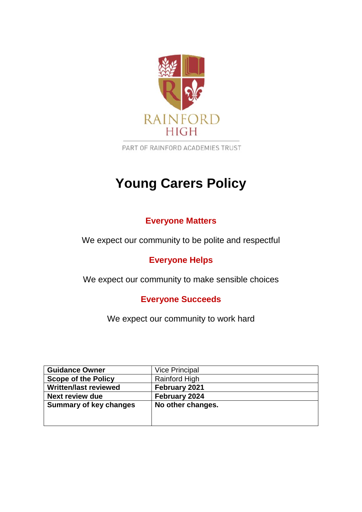

PART OF RAINFORD ACADEMIES TRUST

# **Young Carers Policy**

# **Everyone Matters**

We expect our community to be polite and respectful

# **Everyone Helps**

We expect our community to make sensible choices

**Everyone Succeeds**

We expect our community to work hard

| <b>Guidance Owner</b>         | <b>Vice Principal</b> |
|-------------------------------|-----------------------|
| <b>Scope of the Policy</b>    | <b>Rainford High</b>  |
| <b>Written/last reviewed</b>  | February 2021         |
| <b>Next review due</b>        | February 2024         |
| <b>Summary of key changes</b> | No other changes.     |
|                               |                       |
|                               |                       |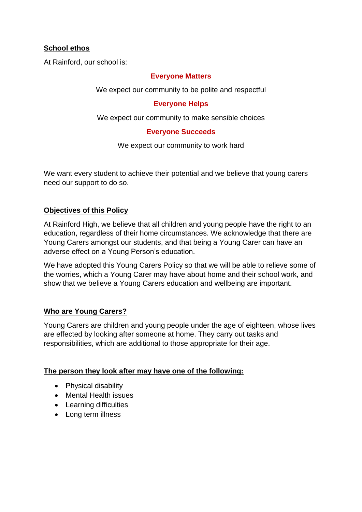# **School ethos**

At Rainford, our school is:

#### **Everyone Matters**

We expect our community to be polite and respectful

#### **Everyone Helps**

We expect our community to make sensible choices

#### **Everyone Succeeds**

We expect our community to work hard

We want every student to achieve their potential and we believe that young carers need our support to do so.

#### **Objectives of this Policy**

At Rainford High, we believe that all children and young people have the right to an education, regardless of their home circumstances. We acknowledge that there are Young Carers amongst our students, and that being a Young Carer can have an adverse effect on a Young Person's education.

We have adopted this Young Carers Policy so that we will be able to relieve some of the worries, which a Young Carer may have about home and their school work, and show that we believe a Young Carers education and wellbeing are important.

## **Who are Young Carers?**

Young Carers are children and young people under the age of eighteen, whose lives are effected by looking after someone at home. They carry out tasks and responsibilities, which are additional to those appropriate for their age.

#### **The person they look after may have one of the following:**

- Physical disability
- Mental Health issues
- Learning difficulties
- Long term illness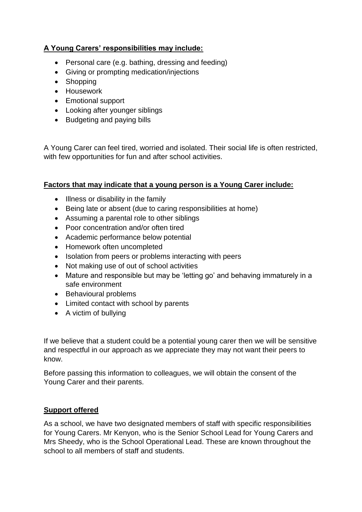# **A Young Carers' responsibilities may include:**

- Personal care (e.g. bathing, dressing and feeding)
- Giving or prompting medication/injections
- Shopping
- Housework
- Emotional support
- Looking after younger siblings
- Budgeting and paying bills

A Young Carer can feel tired, worried and isolated. Their social life is often restricted, with few opportunities for fun and after school activities.

## **Factors that may indicate that a young person is a Young Carer include:**

- Illness or disability in the family
- Being late or absent (due to caring responsibilities at home)
- Assuming a parental role to other siblings
- Poor concentration and/or often tired
- Academic performance below potential
- Homework often uncompleted
- Isolation from peers or problems interacting with peers
- Not making use of out of school activities
- Mature and responsible but may be 'letting go' and behaving immaturely in a safe environment
- Behavioural problems
- Limited contact with school by parents
- A victim of bullying

If we believe that a student could be a potential young carer then we will be sensitive and respectful in our approach as we appreciate they may not want their peers to know.

Before passing this information to colleagues, we will obtain the consent of the Young Carer and their parents.

#### **Support offered**

As a school, we have two designated members of staff with specific responsibilities for Young Carers. Mr Kenyon, who is the Senior School Lead for Young Carers and Mrs Sheedy, who is the School Operational Lead. These are known throughout the school to all members of staff and students.